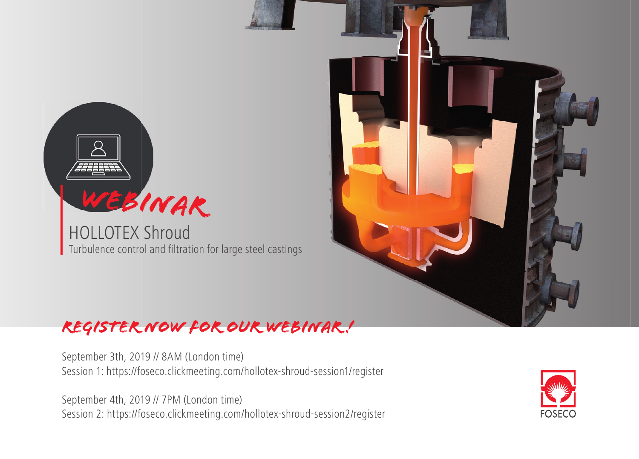

HOLLOTEX Shroud Turbulence control and filtration for large steel castings



## *Register now for our webinar !*

September 3th, 2019 // 8AM (London time) Session 1: https://foseco.clickmeeting.com/hollotex-shroud-session1/register

September 4th, 2019 // 7PM (London time) Session 2: https://foseco.clickmeeting.com/hollotex-shroud-session2/register